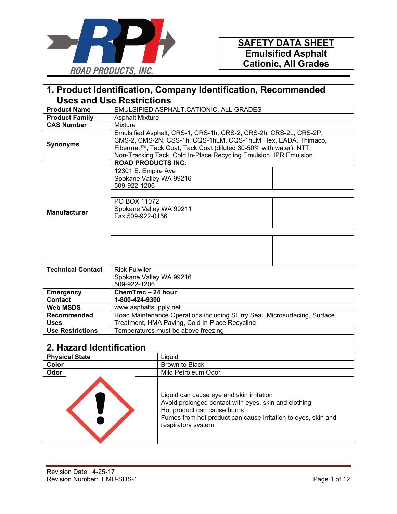

| 1. Product Identification, Company Identification, Recommended |                                                                                                                                                                                                                                                                               |  |
|----------------------------------------------------------------|-------------------------------------------------------------------------------------------------------------------------------------------------------------------------------------------------------------------------------------------------------------------------------|--|
|                                                                | <b>Uses and Use Restrictions</b>                                                                                                                                                                                                                                              |  |
| <b>Product Name</b>                                            | EMULSIFIED ASPHALT, CATIONIC, ALL GRADES                                                                                                                                                                                                                                      |  |
| <b>Product Family</b>                                          | <b>Asphalt Mixture</b>                                                                                                                                                                                                                                                        |  |
| <b>CAS Number</b>                                              | Mixture                                                                                                                                                                                                                                                                       |  |
| <b>Synonyms</b>                                                | Emulsified Asphalt, CRS-1, CRS-1h, CRS-2, CRS-2h, CRS-2L, CRS-2P,<br>CMS-2, CMS-2N, CSS-1h, CQS-1hLM, CQS-1hLM Flex, EADA, Thimaco,<br>Fibermat™, Tack Coat, Tack Coat (diluted 30-50% with water), NTT,<br>Non-Tracking Tack, Cold In-Place Recycling Emulsion, IPR Emulsion |  |
|                                                                | <b>ROAD PRODUCTS INC.</b>                                                                                                                                                                                                                                                     |  |
|                                                                | 12301 E. Empire Ave<br>Spokane Valley WA 99216<br>509-922-1206                                                                                                                                                                                                                |  |
| <b>Manufacturer</b>                                            | PO BOX 11072<br>Spokane Valley WA 99211<br>Fax 509-922-0156                                                                                                                                                                                                                   |  |
|                                                                |                                                                                                                                                                                                                                                                               |  |
|                                                                |                                                                                                                                                                                                                                                                               |  |
| <b>Technical Contact</b>                                       | <b>Rick Fulwiler</b>                                                                                                                                                                                                                                                          |  |
|                                                                | Spokane Valley WA 99216<br>509-922-1206                                                                                                                                                                                                                                       |  |
| <b>Emergency</b>                                               | ChemTrec - 24 hour                                                                                                                                                                                                                                                            |  |
| <b>Contact</b>                                                 | 1-800-424-9300                                                                                                                                                                                                                                                                |  |
| <b>Web MSDS</b>                                                | www.asphaltsupply.net                                                                                                                                                                                                                                                         |  |
| Recommended                                                    | Road Maintenance Operations including Slurry Seal, Microsurfacing, Surface                                                                                                                                                                                                    |  |
| <b>Uses</b>                                                    | Treatment, HMA Paving, Cold In-Place Recycling                                                                                                                                                                                                                                |  |
| <b>Use Restrictions</b>                                        | Temperatures must be above freezing                                                                                                                                                                                                                                           |  |

| 2. Hazard Identification |                                                                                                                                                                                                                        |
|--------------------------|------------------------------------------------------------------------------------------------------------------------------------------------------------------------------------------------------------------------|
| <b>Physical State</b>    | Liquid                                                                                                                                                                                                                 |
| Color                    | Brown to Black                                                                                                                                                                                                         |
| Odor                     | Mild Petroleum Odor                                                                                                                                                                                                    |
|                          | Liquid can cause eye and skin irritation<br>Avoid prolonged contact with eyes, skin and clothing<br>Hot product can cause burns<br>Fumes from hot product can cause irritation to eyes, skin and<br>respiratory system |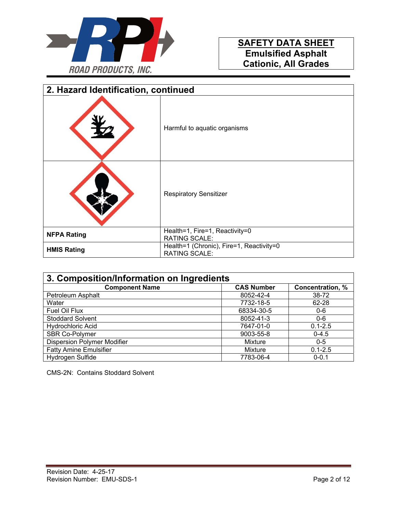

| 2. Hazard Identification, continued |                                                                  |
|-------------------------------------|------------------------------------------------------------------|
|                                     | Harmful to aquatic organisms                                     |
|                                     | <b>Respiratory Sensitizer</b>                                    |
| <b>NFPA Rating</b>                  | Health=1, Fire=1, Reactivity=0<br><b>RATING SCALE:</b>           |
| <b>HMIS Rating</b>                  | Health=1 (Chronic), Fire=1, Reactivity=0<br><b>RATING SCALE:</b> |

| 3. Composition/Information on Ingredients |                   |                  |
|-------------------------------------------|-------------------|------------------|
| <b>Component Name</b>                     | <b>CAS Number</b> | Concentration, % |
| Petroleum Asphalt                         | 8052-42-4         | 38-72            |
| Water                                     | 7732-18-5         | 62-28            |
| Fuel Oil Flux                             | 68334-30-5        | $0-6$            |
| <b>Stoddard Solvent</b>                   | 8052-41-3         | $0 - 6$          |
| <b>Hydrochloric Acid</b>                  | 7647-01-0         | $0.1 - 2.5$      |
| SBR Co-Polymer                            | 9003-55-8         | $0 - 4.5$        |
| <b>Dispersion Polymer Modifier</b>        | Mixture           | $0 - 5$          |
| <b>Fatty Amine Emulsifier</b>             | Mixture           | $0.1 - 2.5$      |
| Hydrogen Sulfide                          | 7783-06-4         | $0 - 0.1$        |

CMS-2N: Contains Stoddard Solvent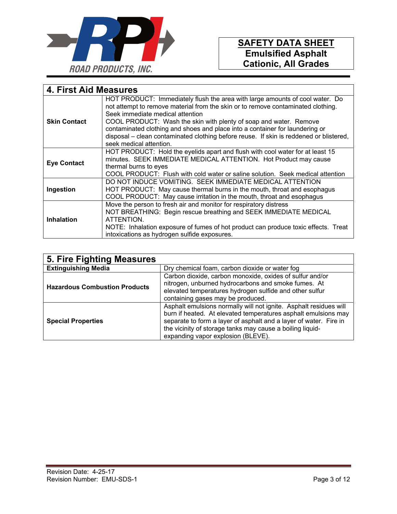

| <b>4. First Aid Measures</b> |                                                                                                                                                                                                                                                                                                                                                                                                                                                                                |
|------------------------------|--------------------------------------------------------------------------------------------------------------------------------------------------------------------------------------------------------------------------------------------------------------------------------------------------------------------------------------------------------------------------------------------------------------------------------------------------------------------------------|
| <b>Skin Contact</b>          | HOT PRODUCT: Immediately flush the area with large amounts of cool water. Do<br>not attempt to remove material from the skin or to remove contaminated clothing.<br>Seek immediate medical attention<br>COOL PRODUCT: Wash the skin with plenty of soap and water. Remove<br>contaminated clothing and shoes and place into a container for laundering or<br>disposal - clean contaminated clothing before reuse. If skin is reddened or blistered,<br>seek medical attention. |
| <b>Eye Contact</b>           | HOT PRODUCT: Hold the eyelids apart and flush with cool water for at least 15<br>minutes. SEEK IMMEDIATE MEDICAL ATTENTION. Hot Product may cause<br>thermal burns to eyes<br>COOL PRODUCT: Flush with cold water or saline solution. Seek medical attention                                                                                                                                                                                                                   |
| Ingestion                    | DO NOT INDUCE VOMITING. SEEK IMMEDIATE MEDICAL ATTENTION<br>HOT PRODUCT: May cause thermal burns in the mouth, throat and esophagus<br>COOL PRODUCT: May cause irritation in the mouth, throat and esophagus                                                                                                                                                                                                                                                                   |
| <b>Inhalation</b>            | Move the person to fresh air and monitor for respiratory distress<br>NOT BREATHING: Begin rescue breathing and SEEK IMMEDIATE MEDICAL<br>ATTENTION.<br>NOTE: Inhalation exposure of fumes of hot product can produce toxic effects. Treat<br>intoxications as hydrogen sulfide exposures.                                                                                                                                                                                      |

| 5. Fire Fighting Measures            |                                                                                                                                                                                                                                                                                                             |  |
|--------------------------------------|-------------------------------------------------------------------------------------------------------------------------------------------------------------------------------------------------------------------------------------------------------------------------------------------------------------|--|
| <b>Extinguishing Media</b>           | Dry chemical foam, carbon dioxide or water fog                                                                                                                                                                                                                                                              |  |
| <b>Hazardous Combustion Products</b> | Carbon dioxide, carbon monoxide, oxides of sulfur and/or<br>nitrogen, unburned hydrocarbons and smoke fumes. At<br>elevated temperatures hydrogen sulfide and other sulfur<br>containing gases may be produced.                                                                                             |  |
| <b>Special Properties</b>            | Asphalt emulsions normally will not ignite. Asphalt residues will<br>burn if heated. At elevated temperatures asphalt emulsions may<br>separate to form a layer of asphalt and a layer of water. Fire in<br>the vicinity of storage tanks may cause a boiling liquid-<br>expanding vapor explosion (BLEVE). |  |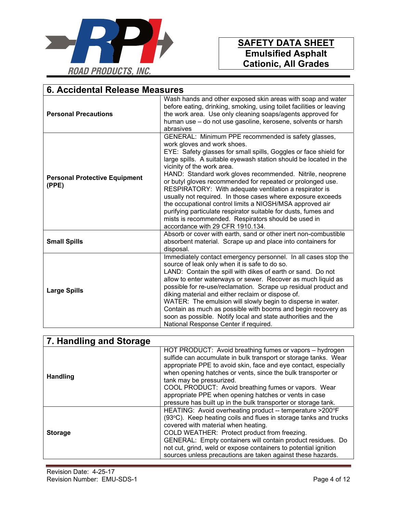

| 6. Accidental Release Measures                |                                                                                                                                                                                                                                                                                                                                                                                                                                                                                                                                                                                                                                                                                                                                        |  |
|-----------------------------------------------|----------------------------------------------------------------------------------------------------------------------------------------------------------------------------------------------------------------------------------------------------------------------------------------------------------------------------------------------------------------------------------------------------------------------------------------------------------------------------------------------------------------------------------------------------------------------------------------------------------------------------------------------------------------------------------------------------------------------------------------|--|
| <b>Personal Precautions</b>                   | Wash hands and other exposed skin areas with soap and water<br>before eating, drinking, smoking, using toilet facilities or leaving<br>the work area. Use only cleaning soaps/agents approved for<br>human use – do not use gasoline, kerosene, solvents or harsh<br>abrasives                                                                                                                                                                                                                                                                                                                                                                                                                                                         |  |
| <b>Personal Protective Equipment</b><br>(PPE) | GENERAL: Minimum PPE recommended is safety glasses,<br>work gloves and work shoes.<br>EYE: Safety glasses for small spills, Goggles or face shield for<br>large spills. A suitable eyewash station should be located in the<br>vicinity of the work area.<br>HAND: Standard work gloves recommended. Nitrile, neoprene<br>or butyl gloves recommended for repeated or prolonged use.<br>RESPIRATORY: With adequate ventilation a respirator is<br>usually not required. In those cases where exposure exceeds<br>the occupational control limits a NIOSH/MSA approved air<br>purifying particulate respirator suitable for dusts, fumes and<br>mists is recommended. Respirators should be used in<br>accordance with 29 CFR 1910.134. |  |
| <b>Small Spills</b>                           | Absorb or cover with earth, sand or other inert non-combustible<br>absorbent material. Scrape up and place into containers for<br>disposal.                                                                                                                                                                                                                                                                                                                                                                                                                                                                                                                                                                                            |  |
| <b>Large Spills</b>                           | Immediately contact emergency personnel. In all cases stop the<br>source of leak only when it is safe to do so.<br>LAND: Contain the spill with dikes of earth or sand. Do not<br>allow to enter waterways or sewer. Recover as much liquid as<br>possible for re-use/reclamation. Scrape up residual product and<br>diking material and either reclaim or dispose of.<br>WATER: The emulsion will slowly begin to disperse in water.<br>Contain as much as possible with booms and begin recovery as<br>soon as possible. Notify local and state authorities and the<br>National Response Center if required.                                                                                                                         |  |

| 7. Handling and Storage |                                                                                                                                                                                                                                                                                                                                                                                                                                                                             |
|-------------------------|-----------------------------------------------------------------------------------------------------------------------------------------------------------------------------------------------------------------------------------------------------------------------------------------------------------------------------------------------------------------------------------------------------------------------------------------------------------------------------|
| <b>Handling</b>         | HOT PRODUCT: Avoid breathing fumes or vapors - hydrogen<br>sulfide can accumulate in bulk transport or storage tanks. Wear<br>appropriate PPE to avoid skin, face and eye contact, especially<br>when opening hatches or vents, since the bulk transporter or<br>tank may be pressurized.<br>COOL PRODUCT: Avoid breathing fumes or vapors. Wear<br>appropriate PPE when opening hatches or vents in case<br>pressure has built up in the bulk transporter or storage tank. |
| <b>Storage</b>          | HEATING: Avoid overheating product -- temperature >200°F<br>(93°C). Keep heating coils and flues in storage tanks and trucks<br>covered with material when heating.<br>COLD WEATHER: Protect product from freezing.<br>GENERAL: Empty containers will contain product residues. Do<br>not cut, grind, weld or expose containers to potential ignition<br>sources unless precautions are taken against these hazards.                                                        |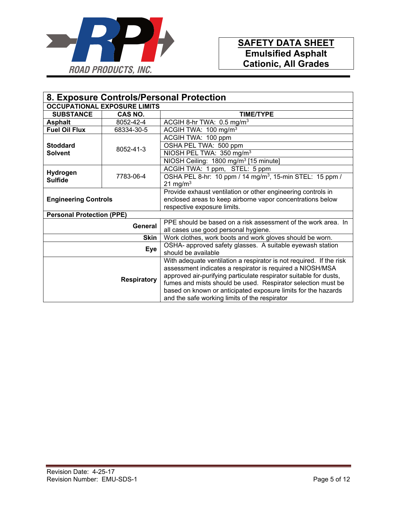![](_page_4_Picture_0.jpeg)

| 8. Exposure Controls/Personal Protection |             |                                                                                                                                                                                                                                                                                                                                                                                         |
|------------------------------------------|-------------|-----------------------------------------------------------------------------------------------------------------------------------------------------------------------------------------------------------------------------------------------------------------------------------------------------------------------------------------------------------------------------------------|
| <b>OCCUPATIONAL EXPOSURE LIMITS</b>      |             |                                                                                                                                                                                                                                                                                                                                                                                         |
| <b>SUBSTANCE</b>                         | CAS NO.     | <b>TIME/TYPE</b>                                                                                                                                                                                                                                                                                                                                                                        |
| <b>Asphalt</b>                           | 8052-42-4   | ACGIH 8-hr TWA: 0.5 mg/m <sup>3</sup>                                                                                                                                                                                                                                                                                                                                                   |
| <b>Fuel Oil Flux</b>                     | 68334-30-5  | ACGIH TWA: 100 mg/m <sup>3</sup>                                                                                                                                                                                                                                                                                                                                                        |
|                                          |             | ACGIH TWA: 100 ppm                                                                                                                                                                                                                                                                                                                                                                      |
| <b>Stoddard</b>                          | 8052-41-3   | OSHA PEL TWA: 500 ppm                                                                                                                                                                                                                                                                                                                                                                   |
| <b>Solvent</b>                           |             | NIOSH PEL TWA: 350 mg/m <sup>3</sup>                                                                                                                                                                                                                                                                                                                                                    |
|                                          |             | NIOSH Ceiling: 1800 mg/m <sup>3</sup> [15 minute]                                                                                                                                                                                                                                                                                                                                       |
|                                          |             | ACGIH TWA: 1 ppm, STEL: 5 ppm                                                                                                                                                                                                                                                                                                                                                           |
| Hydrogen<br><b>Sulfide</b>               | 7783-06-4   | OSHA PEL 8-hr: 10 ppm / 14 mg/m <sup>3</sup> , 15-min STEL: 15 ppm /                                                                                                                                                                                                                                                                                                                    |
|                                          |             | 21 mg/m $3$                                                                                                                                                                                                                                                                                                                                                                             |
|                                          |             | Provide exhaust ventilation or other engineering controls in                                                                                                                                                                                                                                                                                                                            |
| <b>Engineering Controls</b>              |             | enclosed areas to keep airborne vapor concentrations below                                                                                                                                                                                                                                                                                                                              |
|                                          |             | respective exposure limits.                                                                                                                                                                                                                                                                                                                                                             |
| <b>Personal Protection (PPE)</b>         |             |                                                                                                                                                                                                                                                                                                                                                                                         |
|                                          | General     | PPE should be based on a risk assessment of the work area. In                                                                                                                                                                                                                                                                                                                           |
|                                          |             | all cases use good personal hygiene.                                                                                                                                                                                                                                                                                                                                                    |
|                                          | <b>Skin</b> | Work clothes, work boots and work gloves should be worn.                                                                                                                                                                                                                                                                                                                                |
| <b>Eye</b>                               |             | OSHA- approved safety glasses. A suitable eyewash station<br>should be available                                                                                                                                                                                                                                                                                                        |
| <b>Respiratory</b>                       |             | With adequate ventilation a respirator is not required. If the risk<br>assessment indicates a respirator is required a NIOSH/MSA<br>approved air-purifying particulate respirator suitable for dusts,<br>fumes and mists should be used. Respirator selection must be<br>based on known or anticipated exposure limits for the hazards<br>and the safe working limits of the respirator |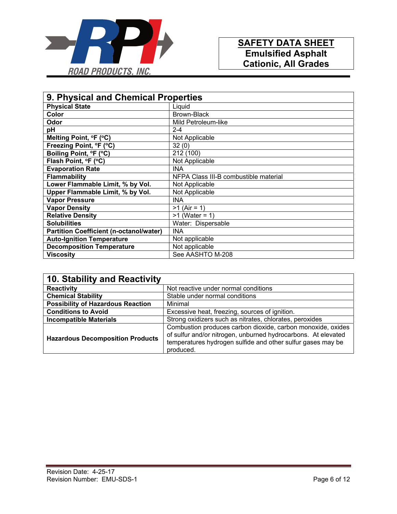![](_page_5_Picture_0.jpeg)

| 9. Physical and Chemical Properties            |                                       |
|------------------------------------------------|---------------------------------------|
| <b>Physical State</b>                          | Liquid                                |
| Color                                          | Brown-Black                           |
| Odor                                           | Mild Petroleum-like                   |
| pH                                             | $2 - 4$                               |
| Melting Point, °F (°C)                         | Not Applicable                        |
| Freezing Point, °F (°C)                        | 32(0)                                 |
| Boiling Point, °F (°C)                         | 212 (100)                             |
| Flash Point, °F (°C)                           | Not Applicable                        |
| <b>Evaporation Rate</b>                        | <b>INA</b>                            |
| <b>Flammability</b>                            | NFPA Class III-B combustible material |
| Lower Flammable Limit, % by Vol.               | Not Applicable                        |
| Upper Flammable Limit, % by Vol.               | Not Applicable                        |
| <b>Vapor Pressure</b>                          | <b>INA</b>                            |
| <b>Vapor Density</b>                           | $>1$ (Air = 1)                        |
| <b>Relative Density</b>                        | $>1$ (Water = 1)                      |
| <b>Solubilities</b>                            | Water: Dispersable                    |
| <b>Partition Coefficient (n-octanol/water)</b> | <b>INA</b>                            |
| <b>Auto-Ignition Temperature</b>               | Not applicable                        |
| <b>Decomposition Temperature</b>               | Not applicable                        |
| <b>Viscosity</b>                               | See AASHTO M-208                      |

| 10. Stability and Reactivity             |                                                                                                                                                                                                          |
|------------------------------------------|----------------------------------------------------------------------------------------------------------------------------------------------------------------------------------------------------------|
| <b>Reactivity</b>                        | Not reactive under normal conditions                                                                                                                                                                     |
| <b>Chemical Stability</b>                | Stable under normal conditions                                                                                                                                                                           |
| <b>Possibility of Hazardous Reaction</b> | Minimal                                                                                                                                                                                                  |
| <b>Conditions to Avoid</b>               | Excessive heat, freezing, sources of ignition.                                                                                                                                                           |
| <b>Incompatible Materials</b>            | Strong oxidizers such as nitrates, chlorates, peroxides                                                                                                                                                  |
| <b>Hazardous Decomposition Products</b>  | Combustion produces carbon dioxide, carbon monoxide, oxides<br>of sulfur and/or nitrogen, unburned hydrocarbons. At elevated<br>temperatures hydrogen sulfide and other sulfur gases may be<br>produced. |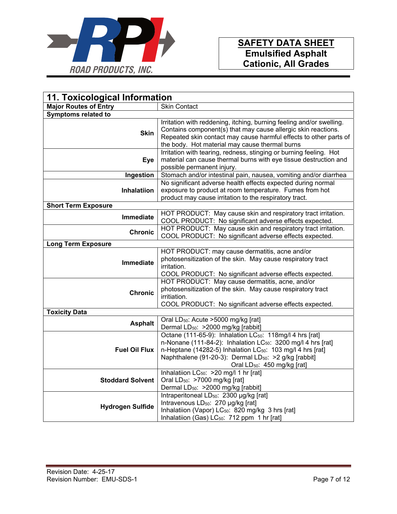![](_page_6_Picture_0.jpeg)

| 11. Toxicological Information |                                                                                                                                                                                                                                                                                                                                     |  |  |
|-------------------------------|-------------------------------------------------------------------------------------------------------------------------------------------------------------------------------------------------------------------------------------------------------------------------------------------------------------------------------------|--|--|
| <b>Major Routes of Entry</b>  | <b>Skin Contact</b>                                                                                                                                                                                                                                                                                                                 |  |  |
| <b>Symptoms related to</b>    |                                                                                                                                                                                                                                                                                                                                     |  |  |
| <b>Skin</b>                   | Irritation with reddening, itching, burning feeling and/or swelling.<br>Contains component(s) that may cause allergic skin reactions.<br>Repeated skin contact may cause harmful effects to other parts of<br>the body. Hot material may cause thermal burns                                                                        |  |  |
| Eye                           | Irritation with tearing, redness, stinging or burning feeling. Hot<br>material can cause thermal burns with eye tissue destruction and<br>possible permanent injury.                                                                                                                                                                |  |  |
| Ingestion                     | Stomach and/or intestinal pain, nausea, vomiting and/or diarrhea                                                                                                                                                                                                                                                                    |  |  |
| <b>Inhalatiion</b>            | No significant adverse health effects expected during normal<br>exposure to product at room temperature. Fumes from hot<br>product may cause irritation to the respiratory tract.                                                                                                                                                   |  |  |
| <b>Short Term Exposure</b>    |                                                                                                                                                                                                                                                                                                                                     |  |  |
| <b>Immediate</b>              | HOT PRODUCT: May cause skin and respiratory tract irritation.<br>COOL PRODUCT: No significant adverse effects expected.                                                                                                                                                                                                             |  |  |
| <b>Chronic</b>                | HOT PRODUCT: May cause skin and respiratory tract irritation.<br>COOL PRODUCT: No significant adverse effects expected.                                                                                                                                                                                                             |  |  |
| Long Term Exposure            |                                                                                                                                                                                                                                                                                                                                     |  |  |
|                               | HOT PRODUCT: may cause dermatitis, acne and/or                                                                                                                                                                                                                                                                                      |  |  |
| <b>Immediate</b>              | photosensitization of the skin. May cause respiratory tract<br>irritation.<br>COOL PRODUCT: No significant adverse effects expected.                                                                                                                                                                                                |  |  |
| <b>Chronic</b>                | HOT PRODUCT: May cause dermatitis, acne, and/or<br>photosensitization of the skin. May cause respiratory tract<br>irritiation.<br>COOL PRODUCT: No significant adverse effects expected.                                                                                                                                            |  |  |
| <b>Toxicity Data</b>          |                                                                                                                                                                                                                                                                                                                                     |  |  |
| <b>Asphalt</b>                | Oral LD <sub>50</sub> : Acute >5000 mg/kg [rat]<br>Dermal LD <sub>50</sub> : >2000 mg/kg [rabbit]                                                                                                                                                                                                                                   |  |  |
| <b>Fuel Oil Flux</b>          | Octane (111-65-9): Inhalation LC <sub>50</sub> : 118mg/l 4 hrs [rat]<br>n-Nonane (111-84-2): Inhalation $LC_{50}$ : 3200 mg/l 4 hrs [rat]<br>n-Heptane (14282-5) Inhalation LC <sub>50</sub> : 103 mg/l 4 hrs [rat]<br>Naphthalene (91-20-3): Dermal LD <sub>50</sub> : >2 g/kg [rabbit]<br>Oral LD <sub>50</sub> : 450 mg/kg [rat] |  |  |
| <b>Stoddard Solvent</b>       | Inhalatiion LC <sub>50</sub> : > 20 mg/l 1 hr [rat]<br>Oral LD <sub>50</sub> : >7000 mg/kg [rat]<br>Dermal LD <sub>50</sub> : > 2000 mg/kg [rabbit]                                                                                                                                                                                 |  |  |
| <b>Hydrogen Sulfide</b>       | Intraperitoneal LD <sub>50</sub> : 2300 µg/kg [rat]<br>Intravenous LD <sub>50</sub> : 270 µg/kg [rat]<br>Inhalatiion (Vapor) LC <sub>50</sub> : 820 mg/kg 3 hrs [rat]<br>Inhalatiion (Gas) LC <sub>50</sub> : 712 ppm 1 hr [rat]                                                                                                    |  |  |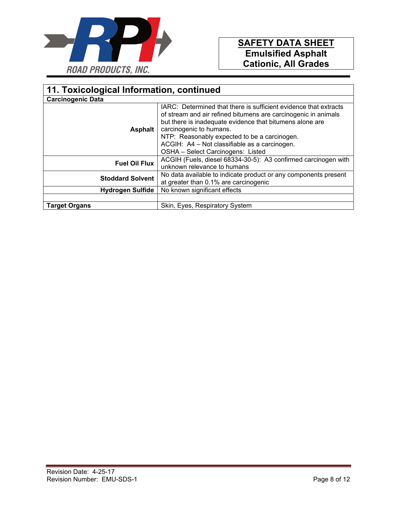![](_page_7_Picture_0.jpeg)

| 11. Toxicological Information, continued |                                                                                                                                                                                                                                                                                                                                                                 |  |  |
|------------------------------------------|-----------------------------------------------------------------------------------------------------------------------------------------------------------------------------------------------------------------------------------------------------------------------------------------------------------------------------------------------------------------|--|--|
| <b>Carcinogenic Data</b>                 |                                                                                                                                                                                                                                                                                                                                                                 |  |  |
| Asphalt                                  | IARC: Determined that there is sufficient evidence that extracts<br>of stream and air refined bitumens are carcinogenic in animals<br>but there is inadequate evidence that bitumens alone are<br>carcinogenic to humans.<br>NTP: Reasonably expected to be a carcinogen.<br>ACGIH: A4 - Not classifiable as a carcinogen.<br>OSHA - Select Carcinogens: Listed |  |  |
| <b>Fuel Oil Flux</b>                     | ACGIH (Fuels, diesel 68334-30-5): A3 confirmed carcinogen with<br>unknown relevance to humans                                                                                                                                                                                                                                                                   |  |  |
| <b>Stoddard Solvent</b>                  | No data available to indicate product or any components present<br>at greater than 0.1% are carcinogenic                                                                                                                                                                                                                                                        |  |  |
| <b>Hydrogen Sulfide</b>                  | No known significant effects                                                                                                                                                                                                                                                                                                                                    |  |  |
|                                          |                                                                                                                                                                                                                                                                                                                                                                 |  |  |
| <b>Target Organs</b>                     | Skin, Eyes, Respiratory System                                                                                                                                                                                                                                                                                                                                  |  |  |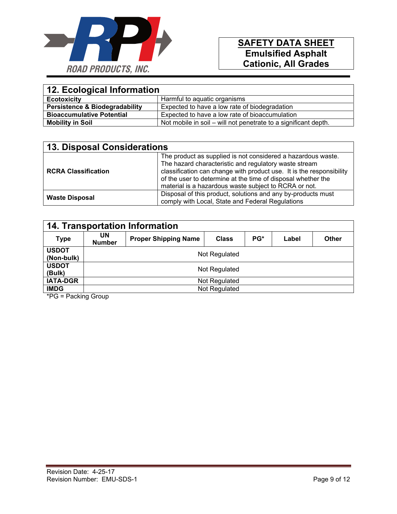![](_page_8_Picture_0.jpeg)

| 12. Ecological Information                |                                                                 |  |
|-------------------------------------------|-----------------------------------------------------------------|--|
| <b>Ecotoxicity</b>                        | Harmful to aquatic organisms                                    |  |
| <b>Persistence &amp; Biodegradability</b> | Expected to have a low rate of biodegradation                   |  |
| <b>Bioaccumulative Potential</b>          | Expected to have a low rate of bioaccumulation                  |  |
| <b>Mobility in Soil</b>                   | Not mobile in soil – will not penetrate to a significant depth. |  |

| <b>13. Disposal Considerations</b> |                                                                                                                                                                                                                                                                                                                        |  |
|------------------------------------|------------------------------------------------------------------------------------------------------------------------------------------------------------------------------------------------------------------------------------------------------------------------------------------------------------------------|--|
| <b>RCRA Classification</b>         | The product as supplied is not considered a hazardous waste.<br>The hazard characteristic and regulatory waste stream<br>classification can change with product use. It is the responsibility<br>of the user to determine at the time of disposal whether the<br>material is a hazardous waste subject to RCRA or not. |  |
| <b>Waste Disposal</b>              | Disposal of this product, solutions and any by-products must<br>comply with Local, State and Federal Regulations                                                                                                                                                                                                       |  |

| <b>14. Transportation Information</b> |                     |                             |              |     |       |       |
|---------------------------------------|---------------------|-----------------------------|--------------|-----|-------|-------|
| <b>Type</b>                           | UN<br><b>Number</b> | <b>Proper Shipping Name</b> | <b>Class</b> | PG* | Label | Other |
| <b>USDOT</b><br>(Non-bulk)            | Not Regulated       |                             |              |     |       |       |
| <b>USDOT</b><br>(Bulk)                | Not Regulated       |                             |              |     |       |       |
| <b>IATA-DGR</b>                       | Not Regulated       |                             |              |     |       |       |
| <b>IMDG</b>                           | Not Regulated       |                             |              |     |       |       |

\*PG = Packing Group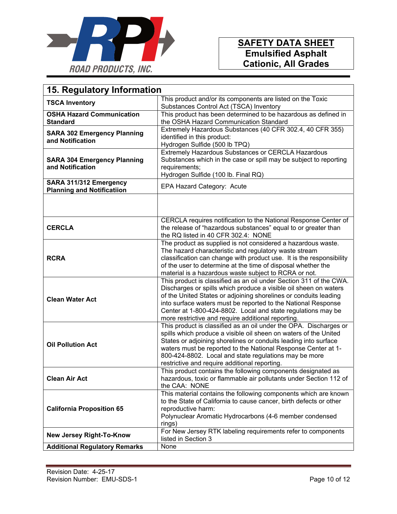![](_page_9_Picture_0.jpeg)

| 15. Regulatory Information                                  |                                                                                                                                                                                                                                                                                                                                                                                                   |  |  |
|-------------------------------------------------------------|---------------------------------------------------------------------------------------------------------------------------------------------------------------------------------------------------------------------------------------------------------------------------------------------------------------------------------------------------------------------------------------------------|--|--|
| <b>TSCA Inventory</b>                                       | This product and/or its components are listed on the Toxic<br>Substances Control Act (TSCA) Inventory                                                                                                                                                                                                                                                                                             |  |  |
| <b>OSHA Hazard Communication</b><br><b>Standard</b>         | This product has been determined to be hazardous as defined in<br>the OSHA Hazard Communication Standard                                                                                                                                                                                                                                                                                          |  |  |
| <b>SARA 302 Emergency Planning</b><br>and Notification      | Extremely Hazardous Substances (40 CFR 302.4, 40 CFR 355)<br>identified in this product:<br>Hydrogen Sulfide (500 lb TPQ)                                                                                                                                                                                                                                                                         |  |  |
| <b>SARA 304 Emergency Planning</b><br>and Notification      | Extremely Hazardous Substances or CERCLA Hazardous<br>Substances which in the case or spill may be subject to reporting<br>requirements;<br>Hydrogen Sulfide (100 lb. Final RQ)                                                                                                                                                                                                                   |  |  |
| SARA 311/312 Emergency<br><b>Planning and Notificatiion</b> | EPA Hazard Category: Acute                                                                                                                                                                                                                                                                                                                                                                        |  |  |
|                                                             |                                                                                                                                                                                                                                                                                                                                                                                                   |  |  |
| <b>CERCLA</b>                                               | CERCLA requires notification to the National Response Center of<br>the release of "hazardous substances" equal to or greater than<br>the RQ listed in 40 CFR 302.4: NONE                                                                                                                                                                                                                          |  |  |
| <b>RCRA</b>                                                 | The product as supplied is not considered a hazardous waste.<br>The hazard characteristic and regulatory waste stream<br>classification can change with product use. It is the responsibility<br>of the user to determine at the time of disposal whether the<br>material is a hazardous waste subject to RCRA or not.                                                                            |  |  |
| <b>Clean Water Act</b>                                      | This product is classified as an oil under Section 311 of the CWA.<br>Discharges or spills which produce a visible oil sheen on waters<br>of the United States or adjoining shorelines or conduits leading<br>into surface waters must be reported to the National Response<br>Center at 1-800-424-8802. Local and state regulations may be<br>more restrictive and require additional reporting. |  |  |
| <b>Oil Pollution Act</b>                                    | This product is classified as an oil under the OPA. Discharges or<br>spills which produce a visible oil sheen on waters of the United<br>States or adjoining shorelines or conduits leading into surface<br>waters must be reported to the National Response Center at 1-<br>800-424-8802. Local and state regulations may be more<br>restrictive and require additional reporting.               |  |  |
| <b>Clean Air Act</b>                                        | This product contains the following components designated as<br>hazardous, toxic or flammable air pollutants under Section 112 of<br>the CAA: NONE                                                                                                                                                                                                                                                |  |  |
| <b>California Proposition 65</b>                            | This material contains the following components which are known<br>to the State of California to cause cancer, birth defects or other<br>reproductive harm:<br>Polynuclear Aromatic Hydrocarbons (4-6 member condensed<br>rings)                                                                                                                                                                  |  |  |
| <b>New Jersey Right-To-Know</b>                             | For New Jersey RTK labeling requirements refer to components<br>listed in Section 3                                                                                                                                                                                                                                                                                                               |  |  |
| <b>Additional Regulatory Remarks</b>                        | None                                                                                                                                                                                                                                                                                                                                                                                              |  |  |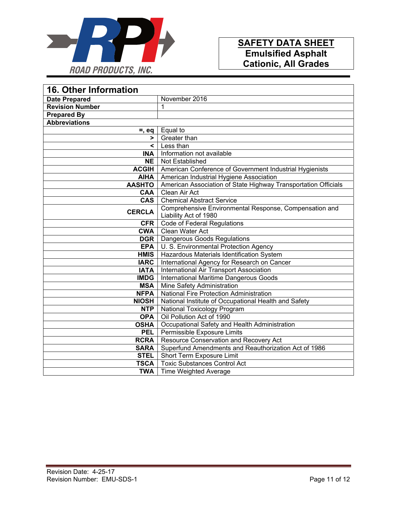![](_page_10_Picture_0.jpeg)

| <b>16. Other Information</b> |                                                                |  |
|------------------------------|----------------------------------------------------------------|--|
| <b>Date Prepared</b>         | November 2016                                                  |  |
| <b>Revision Number</b>       | 1                                                              |  |
| <b>Prepared By</b>           |                                                                |  |
| <b>Abbreviations</b>         |                                                                |  |
| $=$ , eq                     | Equal to                                                       |  |
| >                            | Greater than                                                   |  |
| $\overline{\phantom{0}}$     | Less than                                                      |  |
| <b>INA</b>                   | Information not available                                      |  |
| NE                           | Not Established                                                |  |
| <b>ACGIH</b>                 | American Conference of Government Industrial Hygienists        |  |
| <b>AIHA</b>                  | American Industrial Hygiene Association                        |  |
| <b>AASHTO</b>                | American Association of State Highway Transportation Officials |  |
| CAA                          | Clean Air Act                                                  |  |
| <b>CAS</b>                   | <b>Chemical Abstract Service</b>                               |  |
| <b>CERCLA</b>                | Comprehensive Environmental Response, Compensation and         |  |
|                              | Liability Act of 1980                                          |  |
| <b>CFR</b>                   | <b>Code of Federal Regulations</b>                             |  |
| <b>CWA</b>                   | Clean Water Act                                                |  |
| <b>DGR</b>                   | Dangerous Goods Regulations                                    |  |
| <b>EPA</b>                   | U. S. Environmental Protection Agency                          |  |
| <b>HMIS</b>                  | Hazardous Materials Identification System                      |  |
| <b>IARC</b>                  | International Agency for Research on Cancer                    |  |
| <b>IATA</b>                  | International Air Transport Association                        |  |
| <b>IMDG</b>                  | International Maritime Dangerous Goods                         |  |
| <b>MSA</b>                   | Mine Safety Administration                                     |  |
| <b>NFPA</b>                  | <b>National Fire Protection Administration</b>                 |  |
| <b>NIOSH</b>                 | National Institute of Occupational Health and Safety           |  |
| <b>NTP</b>                   | National Toxicology Program                                    |  |
| <b>OPA</b>                   | Oil Pollution Act of 1990                                      |  |
| <b>OSHA</b>                  | Occupational Safety and Health Administration                  |  |
| <b>PEL</b>                   | Permissible Exposure Limits                                    |  |
| <b>RCRA</b>                  | Resource Conservation and Recovery Act                         |  |
| <b>SARA</b>                  | Superfund Amendments and Reauthorization Act of 1986           |  |
| <b>STEL</b>                  | Short Term Exposure Limit                                      |  |
| <b>TSCA</b>                  | <b>Toxic Substances Control Act</b>                            |  |
| <b>TWA</b>                   | <b>Time Weighted Average</b>                                   |  |